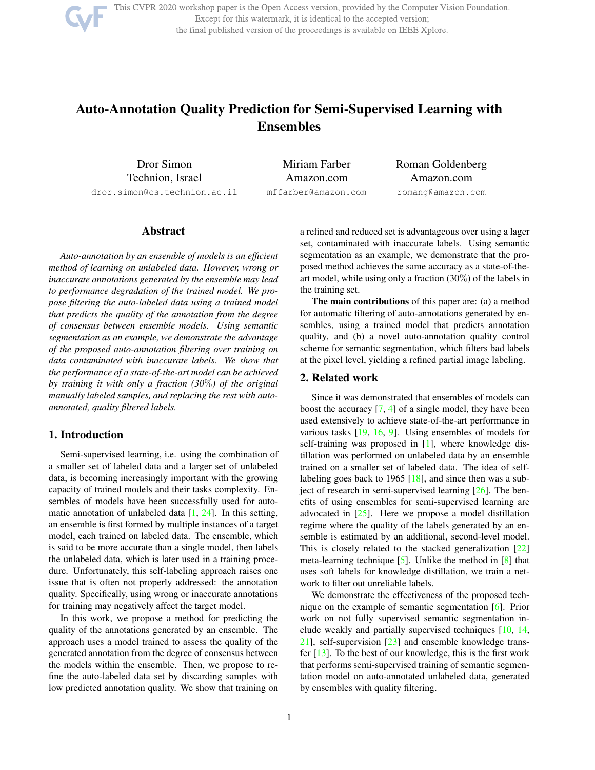

This CVPR 2020 workshop paper is the Open Access version, provided by the Computer Vision Foundation. Except for this watermark, it is identical to the accepted version; the final published version of the proceedings is available on IEEE Xplore.

# Auto-Annotation Quality Prediction for Semi-Supervised Learning with Ensembles

Dror Simon Technion, Israel dror.simon@cs.technion.ac.il

Miriam Farber Amazon.com mffarber@amazon.com Roman Goldenberg Amazon.com romang@amazon.com

#### Abstract

*Auto-annotation by an ensemble of models is an efficient method of learning on unlabeled data. However, wrong or inaccurate annotations generated by the ensemble may lead to performance degradation of the trained model. We propose filtering the auto-labeled data using a trained model that predicts the quality of the annotation from the degree of consensus between ensemble models. Using semantic segmentation as an example, we demonstrate the advantage of the proposed auto-annotation filtering over training on data contaminated with inaccurate labels. We show that the performance of a state-of-the-art model can be achieved by training it with only a fraction (30*%*) of the original manually labeled samples, and replacing the rest with autoannotated, quality filtered labels.*

# 1. Introduction

Semi-supervised learning, i.e. using the combination of a smaller set of labeled data and a larger set of unlabeled data, is becoming increasingly important with the growing capacity of trained models and their tasks complexity. Ensembles of models have been successfully used for automatic annotation of unlabeled data  $[1, 24]$ . In this setting, an ensemble is first formed by multiple instances of a target model, each trained on labeled data. The ensemble, which is said to be more accurate than a single model, then labels the unlabeled data, which is later used in a training procedure. Unfortunately, this self-labeling approach raises one issue that is often not properly addressed: the annotation quality. Specifically, using wrong or inaccurate annotations for training may negatively affect the target model.

In this work, we propose a method for predicting the quality of the annotations generated by an ensemble. The approach uses a model trained to assess the quality of the generated annotation from the degree of consensus between the models within the ensemble. Then, we propose to refine the auto-labeled data set by discarding samples with low predicted annotation quality. We show that training on a refined and reduced set is advantageous over using a lager set, contaminated with inaccurate labels. Using semantic segmentation as an example, we demonstrate that the proposed method achieves the same accuracy as a state-of-theart model, while using only a fraction (30%) of the labels in the training set.

The main contributions of this paper are: (a) a method for automatic filtering of auto-annotations generated by ensembles, using a trained model that predicts annotation quality, and (b) a novel auto-annotation quality control scheme for semantic segmentation, which filters bad labels at the pixel level, yielding a refined partial image labeling.

# 2. Related work

Since it was demonstrated that ensembles of models can boost the accuracy [7, 4] of a single model, they have been used extensively to achieve state-of-the-art performance in various tasks [19, 16, 9]. Using ensembles of models for self-training was proposed in [1], where knowledge distillation was performed on unlabeled data by an ensemble trained on a smaller set of labeled data. The idea of selflabeling goes back to 1965 [18], and since then was a subject of research in semi-supervised learning  $[26]$ . The benefits of using ensembles for semi-supervised learning are advocated in [25]. Here we propose a model distillation regime where the quality of the labels generated by an ensemble is estimated by an additional, second-level model. This is closely related to the stacked generalization [22] meta-learning technique [5]. Unlike the method in [8] that uses soft labels for knowledge distillation, we train a network to filter out unreliable labels.

We demonstrate the effectiveness of the proposed technique on the example of semantic segmentation [6]. Prior work on not fully supervised semantic segmentation include weakly and partially supervised techniques [10, 14, 21], self-supervision [23] and ensemble knowledge transfer [13]. To the best of our knowledge, this is the first work that performs semi-supervised training of semantic segmentation model on auto-annotated unlabeled data, generated by ensembles with quality filtering.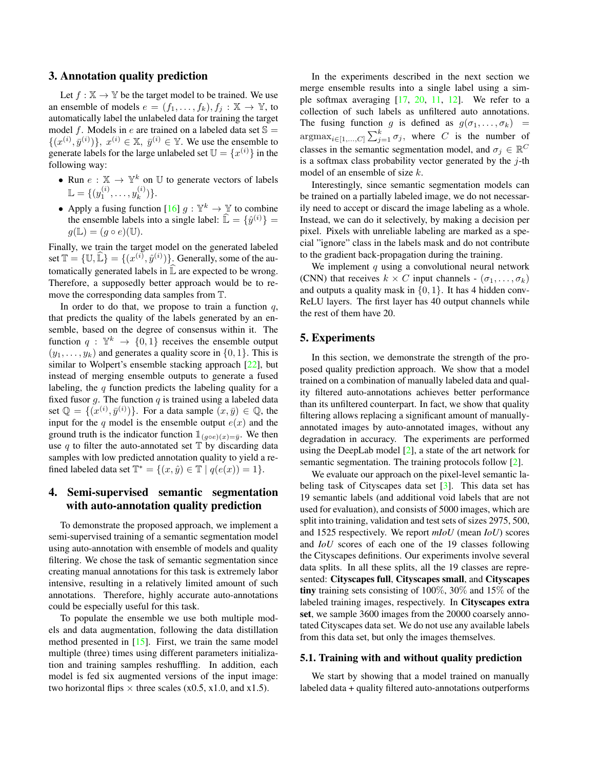# 3. Annotation quality prediction

Let  $f : \mathbb{X} \to \mathbb{Y}$  be the target model to be trained. We use an ensemble of models  $e = (f_1, \ldots, f_k), f_j : \mathbb{X} \to \mathbb{Y}$ , to automatically label the unlabeled data for training the target model f. Models in e are trained on a labeled data set  $\mathbb{S} =$  $\{(x^{(i)},\bar{y}^{(i)})\},\ x^{(i)} \in \mathbb{X},\ \bar{y}^{(i)} \in \mathbb{Y}.$  We use the ensemble to generate labels for the large unlabeled set  $\mathbb{U} = \{x^{(i)}\}$  in the following way:

- Run  $e: \mathbb{X} \to \mathbb{Y}^k$  on  $\mathbb U$  to generate vectors of labels  $\mathbb{L} = \{ (y_1^{(i)}, \ldots, y_k^{(i)} \)$  $_{k}^{\left( \imath\right) }\} .$
- Apply a fusing function [16]  $g: \mathbb{Y}^k \to \mathbb{Y}$  to combine the ensemble labels into a single label:  $\hat{\mathbb{L}} = {\hat{y}^{(i)}} =$  $g(\mathbb{L}) = (g \circ e)(\mathbb{U}).$

Finally, we train the target model on the generated labeled set  $\mathbb{T} = \{ \mathbb{U}, \widehat{\mathbb{L}} \} = \{ (x^{(i)}, \hat{y}^{(i)}) \}.$  Generally, some of the automatically generated labels in  $\mathbb L$  are expected to be wrong. Therefore, a supposedly better approach would be to remove the corresponding data samples from T.

In order to do that, we propose to train a function  $q$ , that predicts the quality of the labels generated by an ensemble, based on the degree of consensus within it. The function  $q : \mathbb{Y}^k \to \{0,1\}$  receives the ensemble output  $(y_1, \ldots, y_k)$  and generates a quality score in  $\{0, 1\}$ . This is similar to Wolpert's ensemble stacking approach [22], but instead of merging ensemble outputs to generate a fused labeling, the  $q$  function predicts the labeling quality for a fixed fusor  $g$ . The function  $q$  is trained using a labeled data set  $\mathbb{Q} = \{ (x^{(i)}, \bar{y}^{(i)}) \}$ . For a data sample  $(x, \bar{y}) \in \mathbb{Q}$ , the input for the q model is the ensemble output  $e(x)$  and the ground truth is the indicator function  $\mathbb{1}_{(q \circ e)(x) = \bar{y}}$ . We then use q to filter the auto-annotated set  $\mathbb T$  by discarding data samples with low predicted annotation quality to yield a refined labeled data set  $\mathbb{T}^* = \{(x, \hat{y}) \in \mathbb{T} \mid q(e(x)) = 1\}.$ 

# 4. Semi-supervised semantic segmentation with auto-annotation quality prediction

To demonstrate the proposed approach, we implement a semi-supervised training of a semantic segmentation model using auto-annotation with ensemble of models and quality filtering. We chose the task of semantic segmentation since creating manual annotations for this task is extremely labor intensive, resulting in a relatively limited amount of such annotations. Therefore, highly accurate auto-annotations could be especially useful for this task.

To populate the ensemble we use both multiple models and data augmentation, following the data distillation method presented in  $[15]$ . First, we train the same model multiple (three) times using different parameters initialization and training samples reshuffling. In addition, each model is fed six augmented versions of the input image: two horizontal flips  $\times$  three scales (x0.5, x1.0, and x1.5).

In the experiments described in the next section we merge ensemble results into a single label using a simple softmax averaging  $[17, 20, 11, 12]$ . We refer to a collection of such labels as unfiltered auto annotations. The fusing function g is defined as  $g(\sigma_1, \ldots, \sigma_k)$  =  $\arg \max_{i \in [1, ..., C]} \sum_{j=1}^{k} \sigma_j$ , where C is the number of classes in the semantic segmentation model, and  $\sigma_j \in \mathbb{R}^C$ is a softmax class probability vector generated by the  $j$ -th model of an ensemble of size k.

Interestingly, since semantic segmentation models can be trained on a partially labeled image, we do not necessarily need to accept or discard the image labeling as a whole. Instead, we can do it selectively, by making a decision per pixel. Pixels with unreliable labeling are marked as a special "ignore" class in the labels mask and do not contribute to the gradient back-propagation during the training.

We implement  $q$  using a convolutional neural network (CNN) that receives  $k \times C$  input channels -  $(\sigma_1, \ldots, \sigma_k)$ and outputs a quality mask in  $\{0, 1\}$ . It has 4 hidden conv-ReLU layers. The first layer has 40 output channels while the rest of them have 20.

#### 5. Experiments

In this section, we demonstrate the strength of the proposed quality prediction approach. We show that a model trained on a combination of manually labeled data and quality filtered auto-annotations achieves better performance than its unfiltered counterpart. In fact, we show that quality filtering allows replacing a significant amount of manuallyannotated images by auto-annotated images, without any degradation in accuracy. The experiments are performed using the DeepLab model [2], a state of the art network for semantic segmentation. The training protocols follow [2].

We evaluate our approach on the pixel-level semantic labeling task of Cityscapes data set [3]. This data set has 19 semantic labels (and additional void labels that are not used for evaluation), and consists of 5000 images, which are split into training, validation and test sets of sizes 2975, 500, and 1525 respectively. We report *mIoU* (mean *IoU*) scores and *IoU* scores of each one of the 19 classes following the Cityscapes definitions. Our experiments involve several data splits. In all these splits, all the 19 classes are represented: Cityscapes full, Cityscapes small, and Cityscapes tiny training sets consisting of 100%, 30% and 15% of the labeled training images, respectively. In Cityscapes extra set, we sample 3600 images from the 20000 coarsely annotated Cityscapes data set. We do not use any available labels from this data set, but only the images themselves.

#### 5.1. Training with and without quality prediction

We start by showing that a model trained on manually labeled data + quality filtered auto-annotations outperforms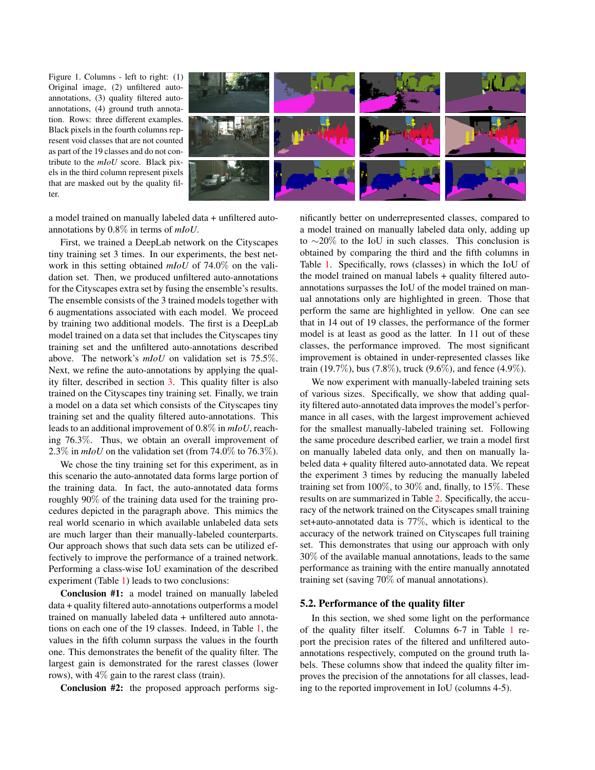Figure 1. Columns - left to right: (1) Original image, (2) unfiltered autoannotations, (3) quality filtered autoannotations, (4) ground truth annotation. Rows: three different examples. Black pixels in the fourth columns represent void classes that are not counted as part of the 19 classes and do not contribute to the *mIoU* score. Black pixels in the third column represent pixels that are masked out by the quality filter.



a model trained on manually labeled data + unfiltered autoannotations by 0.8% in terms of *mIoU*.

First, we trained a DeepLab network on the Cityscapes tiny training set 3 times. In our experiments, the best network in this setting obtained *mIoU* of 74.0% on the validation set. Then, we produced unfiltered auto-annotations for the Cityscapes extra set by fusing the ensemble's results. The ensemble consists of the 3 trained models together with 6 augmentations associated with each model. We proceed by training two additional models. The first is a DeepLab model trained on a data set that includes the Cityscapes tiny training set and the unfiltered auto-annotations described above. The network's *mIoU* on validation set is 75.5%. Next, we refine the auto-annotations by applying the quality filter, described in section 3. This quality filter is also trained on the Cityscapes tiny training set. Finally, we train a model on a data set which consists of the Cityscapes tiny training set and the quality filtered auto-annotations. This leads to an additional improvement of 0.8% in *mIoU*, reaching 76.3%. Thus, we obtain an overall improvement of 2.3% in *mIoU* on the validation set (from 74.0% to 76.3%).

We chose the tiny training set for this experiment, as in this scenario the auto-annotated data forms large portion of the training data. In fact, the auto-annotated data forms roughly 90% of the training data used for the training procedures depicted in the paragraph above. This mimics the real world scenario in which available unlabeled data sets are much larger than their manually-labeled counterparts. Our approach shows that such data sets can be utilized effectively to improve the performance of a trained network. Performing a class-wise IoU examination of the described experiment (Table 1) leads to two conclusions:

Conclusion #1: a model trained on manually labeled data + quality filtered auto-annotations outperforms a model trained on manually labeled data + unfiltered auto annotations on each one of the 19 classes. Indeed, in Table 1, the values in the fifth column surpass the values in the fourth one. This demonstrates the benefit of the quality filter. The largest gain is demonstrated for the rarest classes (lower rows), with  $4\%$  gain to the rarest class (train).

Conclusion #2: the proposed approach performs sig-

nificantly better on underrepresented classes, compared to a model trained on manually labeled data only, adding up to ∼20% to the IoU in such classes. This conclusion is obtained by comparing the third and the fifth columns in Table 1. Specifically, rows (classes) in which the IoU of the model trained on manual labels + quality filtered autoannotations surpasses the IoU of the model trained on manual annotations only are highlighted in green. Those that perform the same are highlighted in yellow. One can see that in 14 out of 19 classes, the performance of the former model is at least as good as the latter. In 11 out of these classes, the performance improved. The most significant improvement is obtained in under-represented classes like train (19.7%), bus (7.8%), truck (9.6%), and fence (4.9%).

We now experiment with manually-labeled training sets of various sizes. Specifically, we show that adding quality filtered auto-annotated data improves the model's performance in all cases, with the largest improvement achieved for the smallest manually-labeled training set. Following the same procedure described earlier, we train a model first on manually labeled data only, and then on manually labeled data + quality filtered auto-annotated data. We repeat the experiment 3 times by reducing the manually labeled training set from 100%, to 30% and, finally, to 15%. These results on are summarized in Table 2. Specifically, the accuracy of the network trained on the Cityscapes small training set+auto-annotated data is 77%, which is identical to the accuracy of the network trained on Cityscapes full training set. This demonstrates that using our approach with only 30% of the available manual annotations, leads to the same performance as training with the entire manually annotated training set (saving 70% of manual annotations).

# 5.2. Performance of the quality filter

In this section, we shed some light on the performance of the quality filter itself. Columns 6-7 in Table 1 report the precision rates of the filtered and unfiltered autoannotations respectively, computed on the ground truth labels. These columns show that indeed the quality filter improves the precision of the annotations for all classes, leading to the reported improvement in IoU (columns 4-5).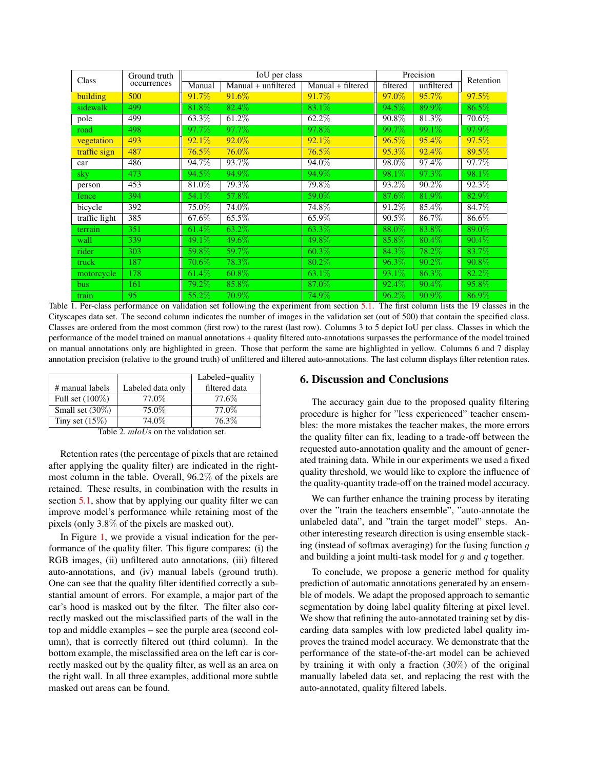| Class         | Ground truth<br>occurrences | IoU per class |                     |                   | Precision |            | Retention |
|---------------|-----------------------------|---------------|---------------------|-------------------|-----------|------------|-----------|
|               |                             | Manual        | Manual + unfiltered | Manual + filtered | filtered  | unfiltered |           |
| building      | 500                         | 91.7%         | 91.6%               | $91.7\%$          | 97.0%     | 95.7%      | 97.5%     |
| sidewalk      | 499                         | 81.8%         | 82.4%               | 83.1%             | 94.5%     | 89.9%      | 86.5%     |
| pole          | 499                         | 63.3%         | 61.2\%              | 62.2\%            | 90.8%     | 81.3%      | 70.6\%    |
| road          | 498                         | 97.7\%        | 97.7\%              | 97.8%             | 99.7\%    | 99.1\%     | 97.9%     |
| vegetation    | 493                         | 92.1%         | 92.0%               | 92.1%             | 96.5%     | 95.4%      | 97.5%     |
| traffic sign  | 487                         | $76.5\%$      | $76.0\%$            | $76.5\%$          | $95.3\%$  | $92.4\%$   | 89.5%     |
| car           | 486                         | 94.7%         | 93.7%               | 94.0%             | 98.0%     | 97.4%      | 97.7\%    |
| sky           | 473                         | 94.5%         | 94.9%               | 94.9%             | 98.1\%    | 97.3%      | 98.1%     |
| person        | 453                         | 81.0%         | 79.3%               | 79.8%             | 93.2%     | 90.2%      | 92.3%     |
| fence         | 394                         | 54.1\%        | 57.8%               | 59.0%             | 87.6%     | 81.9%      | 82.9%     |
| bicycle       | 392                         | 75.0%         | 74.0%               | 74.8%             | 91.2%     | 85.4%      | 84.7%     |
| traffic light | 385                         | 67.6%         | 65.5%               | 65.9%             | 90.5%     | 86.7%      | 86.6%     |
| terrain       | 351                         | $61.4\%$      | 63.2\%              | 63.3\%            | 88.0%     | 83.8%      | 89.0%     |
| wall          | 339                         | $49.1\%$      | 49.6%               | 49.8%             | 85.8%     | 80.4%      | 90.4\%    |
| rider         | 303                         | 59.8%         | 59.7%               | $60.3\%$          | 84.3%     | 78.2%      | 83.7%     |
| truck         | 187                         | $70.6\%$      | 78.3%               | 80.2\%            | 96.3%     | 90.2\%     | 90.8%     |
| motorcycle    | 178                         | 61.4\%        | 60.8%               | 63.1%             | 93.1\%    | 86.3%      | 82.2%     |
| bus.          | 161                         | 79.2%         | 85.8%               | 87.0%             | 92.4\%    | 90.4%      | 95.8%     |
| train         | 95                          | 55.2\%        | 70.9%               | 74.9%             | 96.2%     | 90.9%      | 86.9%     |

Table 1. Per-class performance on validation set following the experiment from section 5.1. The first column lists the 19 classes in the Cityscapes data set. The second column indicates the number of images in the validation set (out of 500) that contain the specified class. Classes are ordered from the most common (first row) to the rarest (last row). Columns 3 to 5 depict IoU per class. Classes in which the performance of the model trained on manual annotations + quality filtered auto-annotations surpasses the performance of the model trained on manual annotations only are highlighted in green. Those that perform the same are highlighted in yellow. Columns 6 and 7 display annotation precision (relative to the ground truth) of unfiltered and filtered auto-annotations. The last column displays filter retention rates.

|                    |                   | Labeled+quality |
|--------------------|-------------------|-----------------|
| # manual labels    | Labeled data only | filtered data   |
| Full set $(100\%)$ | 77.0%             | 77.6%           |
| Small set $(30\%)$ | 75.0%             | 77.0%           |
| Tiny set $(15\%)$  | 74.0%             | 76.3%           |

Table 2. *mIoU*s on the validation set.

Retention rates (the percentage of pixels that are retained after applying the quality filter) are indicated in the rightmost column in the table. Overall, 96.2% of the pixels are retained. These results, in combination with the results in section 5.1, show that by applying our quality filter we can improve model's performance while retaining most of the pixels (only 3.8% of the pixels are masked out).

In Figure 1, we provide a visual indication for the performance of the quality filter. This figure compares: (i) the RGB images, (ii) unfiltered auto annotations, (iii) filtered auto-annotations, and (iv) manual labels (ground truth). One can see that the quality filter identified correctly a substantial amount of errors. For example, a major part of the car's hood is masked out by the filter. The filter also correctly masked out the misclassified parts of the wall in the top and middle examples – see the purple area (second column), that is correctly filtered out (third column). In the bottom example, the misclassified area on the left car is correctly masked out by the quality filter, as well as an area on the right wall. In all three examples, additional more subtle masked out areas can be found.

#### 6. Discussion and Conclusions

The accuracy gain due to the proposed quality filtering procedure is higher for "less experienced" teacher ensembles: the more mistakes the teacher makes, the more errors the quality filter can fix, leading to a trade-off between the requested auto-annotation quality and the amount of generated training data. While in our experiments we used a fixed quality threshold, we would like to explore the influence of the quality-quantity trade-off on the trained model accuracy.

We can further enhance the training process by iterating over the "train the teachers ensemble", "auto-annotate the unlabeled data", and "train the target model" steps. Another interesting research direction is using ensemble stacking (instead of softmax averaging) for the fusing function  $g$ and building a joint multi-task model for  $g$  and  $q$  together.

To conclude, we propose a generic method for quality prediction of automatic annotations generated by an ensemble of models. We adapt the proposed approach to semantic segmentation by doing label quality filtering at pixel level. We show that refining the auto-annotated training set by discarding data samples with low predicted label quality improves the trained model accuracy. We demonstrate that the performance of the state-of-the-art model can be achieved by training it with only a fraction  $(30\%)$  of the original manually labeled data set, and replacing the rest with the auto-annotated, quality filtered labels.